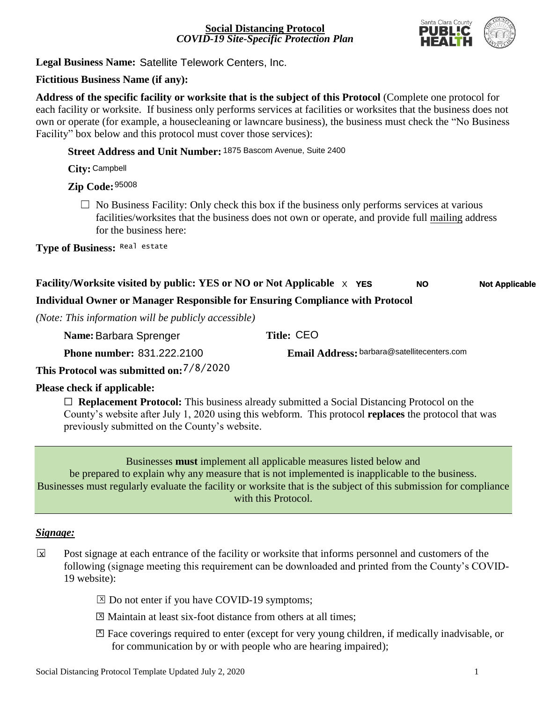

**Legal Business Name:**  Satellite Telework Centers, Inc.

## **Fictitious Business Name (if any):**

**Address of the specific facility or worksite that is the subject of this Protocol** (Complete one protocol for each facility or worksite. If business only performs services at facilities or worksites that the business does not own or operate (for example, a housecleaning or lawncare business), the business must check the "No Business Facility" box below and this protocol must cover those services):

## **Street Address and Unit Number:** 1875 Bascom Avenue, Suite 2400

**City:** Campbell

# **Zip Code:**  95008

 $\Box$  No Business Facility: Only check this box if the business only performs services at various facilities/worksites that the business does not own or operate, and provide full mailing address for the business here:

**Type of Business:** Real estate

#### **Facility/Worksite visited by public: YES or NO or Not Applicable** X **YES NO Not Applicable**

## **Individual Owner or Manager Responsible for Ensuring Compliance with Protocol**

*(Note: This information will be publicly accessible)*

| Name: Barbara Sprenger                   | Title: CEO                                  |
|------------------------------------------|---------------------------------------------|
| <b>Phone number: 831.222.2100</b>        | Email Address: barbara@satellitecenters.com |
| This Protocol was submitted on: 7/8/2020 |                                             |

#### **Please check if applicable:**

□ **Replacement Protocol:** This business already submitted a Social Distancing Protocol on the County's website after July 1, 2020 using this webform. This protocol **replaces** the protocol that was previously submitted on the County's website.

Businesses **must** implement all applicable measures listed below and be prepared to explain why any measure that is not implemented is inapplicable to the business. Businesses must regularly evaluate the facility or worksite that is the subject of this submission for compliance with this Protocol.

#### *Signage:*

- Post signage at each entrance of the facility or worksite that informs personnel and customers of the following (signage meeting this requirement can be downloaded and printed from the County's COVID-19 website):  $\overline{\mathbf{x}}$ 
	- ⊠ Do not enter if you have COVID-19 symptoms;
	- ⊠ Maintain at least six-foot distance from others at all times;
	- ☐ Face coverings required to enter (except for very young children, if medically inadvisable, or X for communication by or with people who are hearing impaired);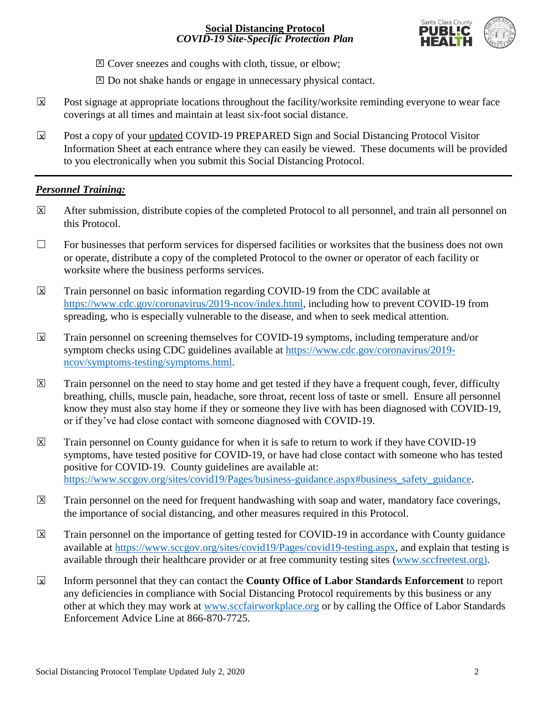

⊠ Cover sneezes and coughs with cloth, tissue, or elbow;

⊠ Do not shake hands or engage in unnecessary physical contact.

- Post signage at appropriate locations throughout the facility/worksite reminding everyone to wear face coverings at all times and maintain at least six-foot social distance.  $\mathbf x$
- Post a copy of your updated COVID-19 PREPARED Sign and Social Distancing Protocol Visitor Information Sheet at each entrance where they can easily be viewed. These documents will be provided to you electronically when you submit this Social Distancing Protocol.  $\boxtimes$

# *Personnel Training:*

- After submission, distribute copies of the completed Protocol to all personnel, and train all personnel on this Protocol. X
- $\Box$  For businesses that perform services for dispersed facilities or worksites that the business does not own or operate, distribute a copy of the completed Protocol to the owner or operator of each facility or worksite where the business performs services.
- Train personnel on basic information regarding COVID-19 from the CDC available at [https://www.cdc.gov/coronavirus/2019-ncov/index.html,](https://www.cdc.gov/coronavirus/2019-ncov/index.html) including how to prevent COVID-19 from spreading, who is especially vulnerable to the disease, and when to seek medical attention.  $\overline{\mathbf{x}}$
- Train personnel on screening themselves for COVID-19 symptoms, including temperature and/or symptom checks using CDC guidelines available at [https://www.cdc.gov/coronavirus/2019](https://www.cdc.gov/coronavirus/2019-ncov/symptoms-testing/symptoms.html) [ncov/symptoms-testing/symptoms.html.](https://www.cdc.gov/coronavirus/2019-ncov/symptoms-testing/symptoms.html)  $\overline{\mathbf{x}}$
- Train personnel on the need to stay home and get tested if they have a frequent cough, fever, difficulty breathing, chills, muscle pain, headache, sore throat, recent loss of taste or smell. Ensure all personnel know they must also stay home if they or someone they live with has been diagnosed with COVID-19, or if they've had close contact with someone diagnosed with COVID-19.  $\overline{X}$
- Train personnel on County guidance for when it is safe to return to work if they have COVID-19 symptoms, have tested positive for COVID-19, or have had close contact with someone who has tested positive for COVID-19. County guidelines are available at: [https://www.sccgov.org/sites/covid19/Pages/business-guidance.aspx#business\\_safety\\_guidance.](https://www.sccgov.org/sites/covid19/Pages/business-guidance.aspx#business_safety_guidance) X
- Train personnel on the need for frequent handwashing with soap and water, mandatory face coverings, the importance of social distancing, and other measures required in this Protocol.  $\boxed{X}$
- Train personnel on the importance of getting tested for COVID-19 in accordance with County guidance available at [https://www.sccgov.org/sites/covid19/Pages/covid19-testing.aspx,](https://www.sccgov.org/sites/covid19/Pages/covid19-testing.aspx) and explain that testing is available through their healthcare provider or at free community testing sites [\(www.sccfreetest.org\)](http://www.sccfreetest.org/).  $\overline{X}$
- ☐ Inform personnel that they can contact the **County Office of Labor Standards Enforcement** to report any deficiencies in compliance with Social Distancing Protocol requirements by this business or any other at which they may work at [www.sccfairworkplace.org](http://www.sccfairworkplace.org/) or by calling the Office of Labor Standards Enforcement Advice Line at 866-870-7725.  $\mathbf x$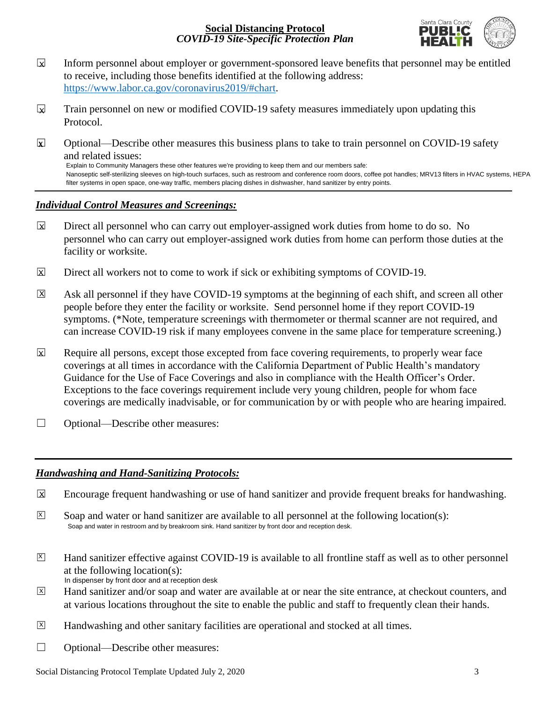

- Inform personnel about employer or government-sponsored leave benefits that personnel may be entitled to receive, including those benefits identified at the following address: [https://www.labor.ca.gov/coronavirus2019/#chart.](https://www.labor.ca.gov/coronavirus2019/#chart)  $\mathbf x$
- Train personnel on new or modified COVID-19 safety measures immediately upon updating this Protocol.  $\mathbf x$
- ☐ Optional—Describe other measures this business plans to take to train personnel on COVID-19 safety and related issues: Explain to Community Managers these other features we're providing to keep them and our members safe: Nanoseptic self-sterilizing sleeves on high-touch surfaces, such as restroom and conference room doors, coffee pot handles; MRV13 filters in HVAC systems, HEPA filter systems in open space, one-way traffic, members placing dishes in dishwasher, hand sanitizer by entry points. **X**

## *Individual Control Measures and Screenings:*

- Direct all personnel who can carry out employer-assigned work duties from home to do so. No personnel who can carry out employer-assigned work duties from home can perform those duties at the facility or worksite.  $\boxtimes$
- Direct all workers not to come to work if sick or exhibiting symptoms of COVID-19.  $\boxtimes$
- Ask all personnel if they have COVID-19 symptoms at the beginning of each shift, and screen all other people before they enter the facility or worksite. Send personnel home if they report COVID-19 symptoms. (\*Note, temperature screenings with thermometer or thermal scanner are not required, and can increase COVID-19 risk if many employees convene in the same place for temperature screening.)  $\overline{\mathsf{x}}$
- Require all persons, except those excepted from face covering requirements, to properly wear face coverings at all times in accordance with the California Department of Public Health's mandatory Guidance for the Use of Face Coverings and also in compliance with the Health Officer's Order. Exceptions to the face coverings requirement include very young children, people for whom face coverings are medically inadvisable, or for communication by or with people who are hearing impaired.  $\mathbf x$
- □ Optional—Describe other measures:

## *Handwashing and Hand-Sanitizing Protocols:*

- Encourage frequent handwashing or use of hand sanitizer and provide frequent breaks for handwashing.  $\overline{\mathbf{x}}$
- Soap and water or hand sanitizer are available to all personnel at the following location(s):  $\overline{X}$ Soap and water in restroom and by breakroom sink. Hand sanitizer by front door and reception desk.
- Hand sanitizer effective against COVID-19 is available to all frontline staff as well as to other personnel at the following location(s):  $\overline{X}$ In dispenser by front door and at reception desk
- Hand sanitizer and/or soap and water are available at or near the site entrance, at checkout counters, and at various locations throughout the site to enable the public and staff to frequently clean their hands.  $\overline{X}$
- Handwashing and other sanitary facilities are operational and stocked at all times.  $\boxed{\mathsf{X}}$
- ☐ Optional—Describe other measures: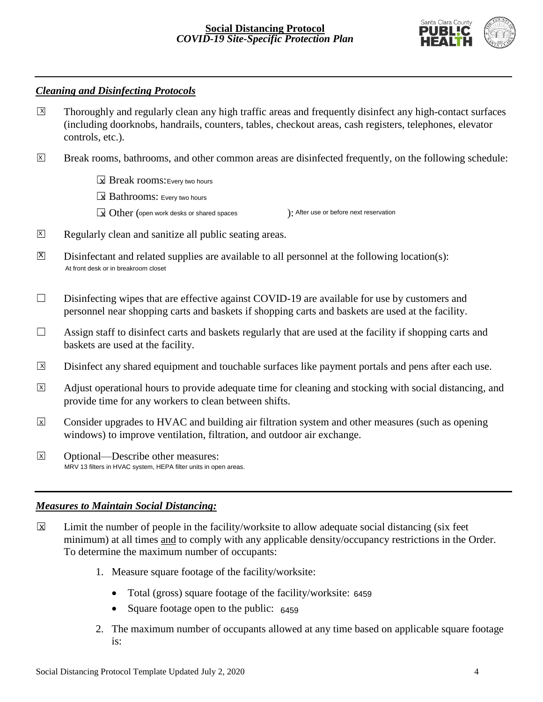

## *Cleaning and Disinfecting Protocols*

- Thoroughly and regularly clean any high traffic areas and frequently disinfect any high-contact surfaces (including doorknobs, handrails, counters, tables, checkout areas, cash registers, telephones, elevator controls, etc.).  $\boxed{X}$
- Break rooms, bathrooms, and other common areas are disinfected frequently, on the following schedule:  $\overline{X}$ 
	- ☐ Break rooms: X Every two hours

☐ Bathrooms: X Every two hours

- $\boxed{\mathbf{x}}$  Other (open work desks or shared spaces ): ): After use or before next reservation
- Regularly clean and sanitize all public seating areas.  $\overline{X}$
- Disinfectant and related supplies are available to all personnel at the following location(s):  $|X|$ At front desk or in breakroom closet
- $\Box$  Disinfecting wipes that are effective against COVID-19 are available for use by customers and personnel near shopping carts and baskets if shopping carts and baskets are used at the facility.
- $\Box$  Assign staff to disinfect carts and baskets regularly that are used at the facility if shopping carts and baskets are used at the facility.
- Disinfect any shared equipment and touchable surfaces like payment portals and pens after each use.  $\boxed{\mathsf{X}}$
- Adjust operational hours to provide adequate time for cleaning and stocking with social distancing, and provide time for any workers to clean between shifts.  $\overline{X}$
- Consider upgrades to HVAC and building air filtration system and other measures (such as opening windows) to improve ventilation, filtration, and outdoor air exchange.  $\overline{x}$
- ☐ Optional—Describe other measures:  $\overline{x}$ MRV 13 filters in HVAC system, HEPA filter units in open areas.

#### *Measures to Maintain Social Distancing:*

- Limit the number of people in the facility/worksite to allow adequate social distancing (six feet minimum) at all times and to comply with any applicable density/occupancy restrictions in the Order. To determine the maximum number of occupants:  $\overline{\mathbf{x}}$ 
	- 1. Measure square footage of the facility/worksite:
		- Total (gross) square footage of the facility/worksite: 6459
		- Square footage open to the public: 6459
	- 2. The maximum number of occupants allowed at any time based on applicable square footage is: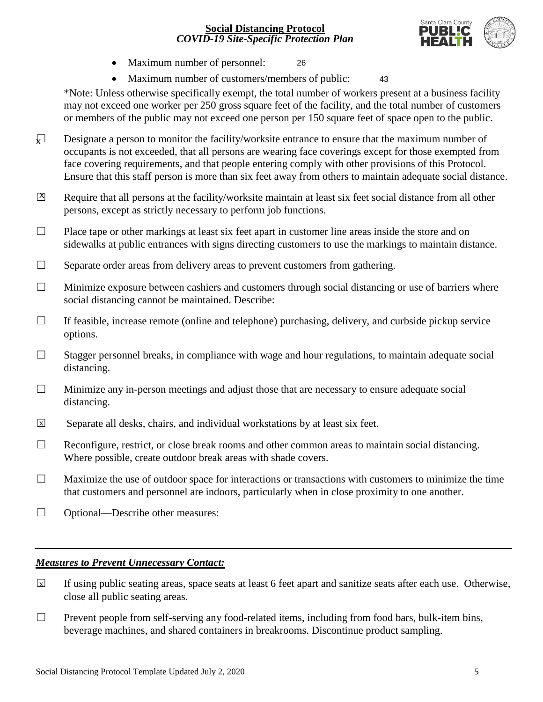

- Maximum number of personnel:
- Maximum number of customers/members of public: 43

\*Note: Unless otherwise specifically exempt, the total number of workers present at a business facility may not exceed one worker per 250 gross square feet of the facility, and the total number of customers or members of the public may not exceed one person per 150 square feet of space open to the public.

26

- Designate a person to monitor the facility/worksite entrance to ensure that the maximum number of occupants is not exceeded, that all persons are wearing face coverings except for those exempted from face covering requirements, and that people entering comply with other provisions of this Protocol. Ensure that this staff person is more than six feet away from others to maintain adequate social distance.  $\sqrt{ }$
- Require that all persons at the facility/worksite maintain at least six feet social distance from all other persons, except as strictly necessary to perform job functions.  $|X|$
- $\Box$  Place tape or other markings at least six feet apart in customer line areas inside the store and on sidewalks at public entrances with signs directing customers to use the markings to maintain distance.
- $\Box$  Separate order areas from delivery areas to prevent customers from gathering.
- $\Box$  Minimize exposure between cashiers and customers through social distancing or use of barriers where social distancing cannot be maintained. Describe:
- ☐ If feasible, increase remote (online and telephone) purchasing, delivery, and curbside pickup service options.
- □ Stagger personnel breaks, in compliance with wage and hour regulations, to maintain adequate social distancing.
- ☐ Minimize any in-person meetings and adjust those that are necessary to ensure adequate social distancing.
- Separate all desks, chairs, and individual workstations by at least six feet.  $\overline{x}$
- $\Box$  Reconfigure, restrict, or close break rooms and other common areas to maintain social distancing. Where possible, create outdoor break areas with shade covers.
- $\Box$  Maximize the use of outdoor space for interactions or transactions with customers to minimize the time that customers and personnel are indoors, particularly when in close proximity to one another.
- ☐ Optional—Describe other measures:

#### *Measures to Prevent Unnecessary Contact:*

- If using public seating areas, space seats at least 6 feet apart and sanitize seats after each use. Otherwise, close all public seating areas.  $\overline{x}$
- □ Prevent people from self-serving any food-related items, including from food bars, bulk-item bins, beverage machines, and shared containers in breakrooms. Discontinue product sampling.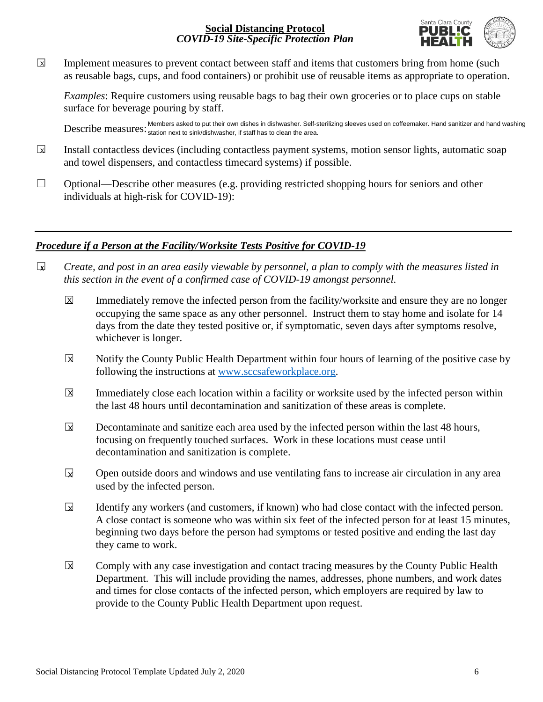

Implement measures to prevent contact between staff and items that customers bring from home (such as reusable bags, cups, and food containers) or prohibit use of reusable items as appropriate to operation.  $\boxed{\mathsf{x}}$ 

*Examples*: Require customers using reusable bags to bag their own groceries or to place cups on stable surface for beverage pouring by staff.

Describe measures: Members asked to put their own dishes in dishwasher. Self-sterilizing sleeves used on coffeemaker. Hand sanitizer and hand washing<br>Describe measures: <sub>station next to sink/dishwasher, if staff has to cle</sub> station next to sink/dishwasher, if staff has to clean the area.

- Install contactless devices (including contactless payment systems, motion sensor lights, automatic soap and towel dispensers, and contactless timecard systems) if possible.  $\sqrt{X}$
- $\Box$  Optional—Describe other measures (e.g. providing restricted shopping hours for seniors and other individuals at high-risk for COVID-19):

## *Procedure if a Person at the Facility/Worksite Tests Positive for COVID-19*

- ☐ *Create, and post in an area easily viewable by personnel, a plan to comply with the measures listed in this section in the event of a confirmed case of COVID-19 amongst personnel.* **X**
	- Immediately remove the infected person from the facility/worksite and ensure they are no longer occupying the same space as any other personnel. Instruct them to stay home and isolate for 14 days from the date they tested positive or, if symptomatic, seven days after symptoms resolve, whichever is longer. X
	- Notify the County Public Health Department within four hours of learning of the positive case by following the instructions at [www.sccsafeworkplace.org.](http://www.sccsafeworkplace.org/)  $\overline{\mathbf{x}}$
	- Immediately close each location within a facility or worksite used by the infected person within the last 48 hours until decontamination and sanitization of these areas is complete.  $\overline{\mathsf{x}}$
	- Decontaminate and sanitize each area used by the infected person within the last 48 hours, focusing on frequently touched surfaces. Work in these locations must cease until decontamination and sanitization is complete.  $\overline{\mathbf{x}}$
	- ☐ Open outside doors and windows and use ventilating fans to increase air circulation in any area used by the infected person.  $\mathbf{z}$
	- Identify any workers (and customers, if known) who had close contact with the infected person. A close contact is someone who was within six feet of the infected person for at least 15 minutes, beginning two days before the person had symptoms or tested positive and ending the last day they came to work.  $\overline{\mathbf{x}}$
	- Comply with any case investigation and contact tracing measures by the County Public Health Department. This will include providing the names, addresses, phone numbers, and work dates and times for close contacts of the infected person, which employers are required by law to provide to the County Public Health Department upon request.  $\overline{\mathbf{X}}$